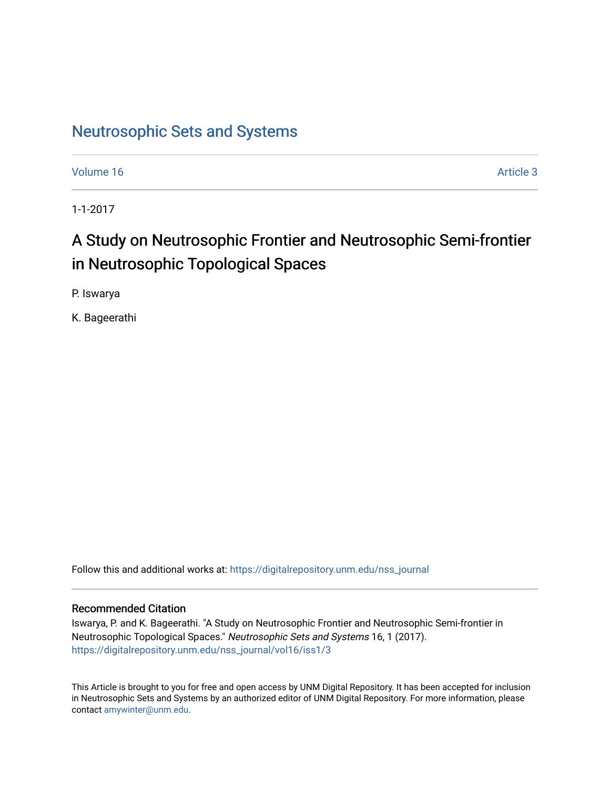## [Neutrosophic Sets and Systems](https://digitalrepository.unm.edu/nss_journal)

[Volume 16](https://digitalrepository.unm.edu/nss_journal/vol16) Article 3

1-1-2017

# A Study on Neutrosophic Frontier and Neutrosophic Semi-frontier in Neutrosophic Topological Spaces

P. Iswarya

K. Bageerathi

Follow this and additional works at: [https://digitalrepository.unm.edu/nss\\_journal](https://digitalrepository.unm.edu/nss_journal?utm_source=digitalrepository.unm.edu%2Fnss_journal%2Fvol16%2Fiss1%2F3&utm_medium=PDF&utm_campaign=PDFCoverPages) 

### Recommended Citation

Iswarya, P. and K. Bageerathi. "A Study on Neutrosophic Frontier and Neutrosophic Semi-frontier in Neutrosophic Topological Spaces." Neutrosophic Sets and Systems 16, 1 (2017). [https://digitalrepository.unm.edu/nss\\_journal/vol16/iss1/3](https://digitalrepository.unm.edu/nss_journal/vol16/iss1/3?utm_source=digitalrepository.unm.edu%2Fnss_journal%2Fvol16%2Fiss1%2F3&utm_medium=PDF&utm_campaign=PDFCoverPages)

This Article is brought to you for free and open access by UNM Digital Repository. It has been accepted for inclusion in Neutrosophic Sets and Systems by an authorized editor of UNM Digital Repository. For more information, please contact [amywinter@unm.edu](mailto:amywinter@unm.edu).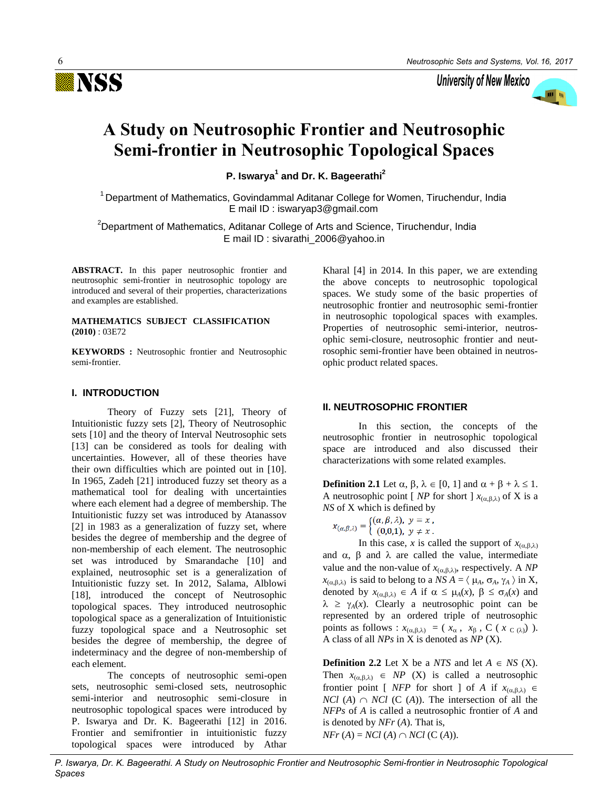

University of New Mexico



# **A Study on Neutrosophic Frontier and Neutrosophic Semi-frontier in Neutrosophic Topological Spaces**

**P. Iswarya<sup>1</sup> and Dr. K. Bageerathi<sup>2</sup>**

<sup>1</sup> Department of Mathematics, Govindammal Aditanar College for Women, Tiruchendur, India E mail ID : iswaryap3@gmail.com

<sup>2</sup>Department of Mathematics, Aditanar College of Arts and Science, Tiruchendur, India E mail ID : sivarathi\_2006@yahoo.in

**ABSTRACT.** In this paper neutrosophic frontier and neutrosophic semi-frontier in neutrosophic topology are introduced and several of their properties, characterizations and examples are established.

**MATHEMATICS SUBJECT CLASSIFICATION (2010)** : 03E72

**KEYWORDS :** Neutrosophic frontier and Neutrosophic semi-frontier.

#### **I. INTRODUCTION**

Theory of Fuzzy sets [21], Theory of Intuitionistic fuzzy sets [2], Theory of Neutrosophic sets [10] and the theory of Interval Neutrosophic sets [13] can be considered as tools for dealing with uncertainties. However, all of these theories have their own difficulties which are pointed out in [10]. In 1965, Zadeh [21] introduced fuzzy set theory as a mathematical tool for dealing with uncertainties where each element had a degree of membership. The Intuitionistic fuzzy set was introduced by Atanassov [2] in 1983 as a generalization of fuzzy set, where besides the degree of membership and the degree of non-membership of each element. The neutrosophic set was introduced by Smarandache [10] and explained, neutrosophic set is a generalization of Intuitionistic fuzzy set. In 2012, Salama, Alblowi [18], introduced the concept of Neutrosophic topological spaces. They introduced neutrosophic topological space as a generalization of Intuitionistic fuzzy topological space and a Neutrosophic set besides the degree of membership, the degree of indeterminacy and the degree of non-membership of each element.

The concepts of neutrosophic semi-open sets, neutrosophic semi-closed sets, neutrosophic semi-interior and neutrosophic semi-closure in neutrosophic topological spaces were introduced by P. Iswarya and Dr. K. Bageerathi [12] in 2016. Frontier and semifrontier in intuitionistic fuzzy topological spaces were introduced by Athar

Kharal [4] in 2014. In this paper, we are extending the above concepts to neutrosophic topological spaces. We study some of the basic properties of neutrosophic frontier and neutrosophic semi-frontier in neutrosophic topological spaces with examples. Properties of neutrosophic semi-interior, neutrosophic semi-closure, neutrosophic frontier and neutrosophic semi-frontier have been obtained in neutrosophic product related spaces.

#### **II. NEUTROSOPHIC FRONTIER**

In this section, the concepts of the neutrosophic frontier in neutrosophic topological space are introduced and also discussed their characterizations with some related examples.

**Definition 2.1** Let  $\alpha$ ,  $\beta$ ,  $\lambda \in [0, 1]$  and  $\alpha + \beta + \lambda \leq 1$ . A neutrosophic point [ *NP* for short ]  $x_{(\alpha,\beta,\lambda)}$  of X is a

*NS* of *X* which is defined by<br> $x_{(\alpha,\beta,\lambda)} = \begin{cases} (\alpha,\beta,\lambda), & y = x, \\ (0,0,1), & y \neq x. \end{cases}$ 

In this case, *x* is called the support of  $x_{(a, \beta, \lambda)}$ and  $\alpha$ ,  $\beta$  and  $\lambda$  are called the value, intermediate value and the non-value of  $x_{(\alpha,\beta,\lambda)}$ , respectively. A *NP*  $x_{(\alpha,\beta,\lambda)}$  is said to belong to a *NS A* =  $\langle \mu_A, \sigma_A, \gamma_A \rangle$  in X, denoted by  $x_{(\alpha,\beta,\lambda)} \in A$  if  $\alpha \leq \mu_A(x), \beta \leq \sigma_A(x)$  and  $\lambda \geq \gamma_A(x)$ . Clearly a neutrosophic point can be represented by an ordered triple of neutrosophic points as follows :  $x_{(\alpha,\beta,\lambda)} = (x_{\alpha}, x_{\beta}, C(x_{C(\lambda)})).$ A class of all *NPs* in X is denoted as *NP* (X).

**Definition 2.2** Let X be a *NTS* and let  $A \in NS(X)$ . Then  $x_{(\alpha,\beta,\lambda)} \in NP$  (X) is called a neutrosophic frontier point  $\left[ NPP \right]$  for short  $\left[ \right]$  of *A* if  $x_{(a, \beta, \lambda)} \in$ *NCl* (*A*)  $\cap$  *NCl* (**C** (*A*)). The intersection of all the *NFPs* of *A* is called a neutrosophic frontier of *A* and is denoted by *NFr* (*A*). That is,  $NFr(A) = NCl(A) \cap NCl(C(A)).$ 

*P. Iswarya, Dr. K. Bageerathi. A Study on Neutrosophic Frontier and Neutrosophic Semi-frontier in Neutrosophic Topological Spaces*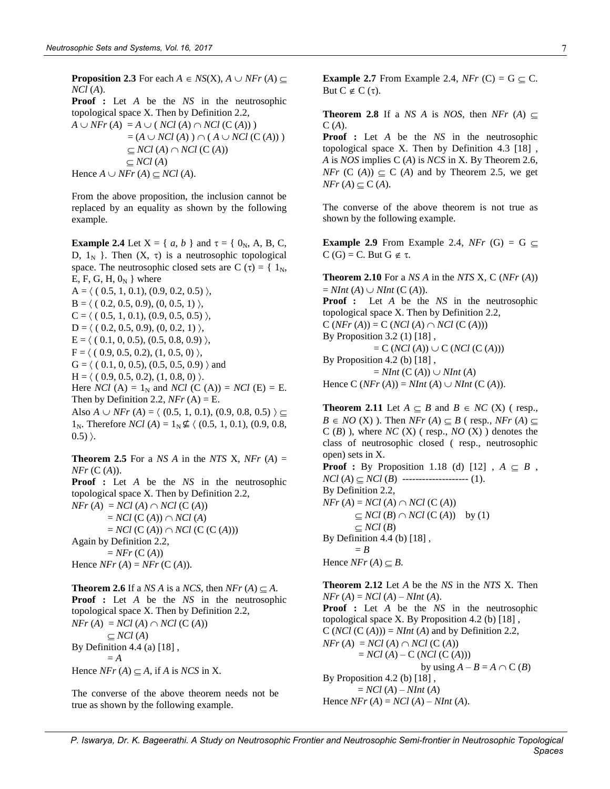**Proposition 2.3** For each  $A \in NS(X)$ ,  $A \cup NFr(A) \subset$ *NCl* (*A*).

**Proof :** Let *A* be the *NS* in the neutrosophic topological space X. Then by Definition 2.2,

$$
A \cup NFr(A) = A \cup (NCl(A) \cap NCl(C(A)))
$$
  
= (A \cup NCl(A)) \cap (A \cup NCl(C(A)))  

$$
\subseteq NCl(A) \cap NCl(C(A))
$$
  

$$
\subseteq NCl(A)
$$
  
Hence  $A \cup NFr(A) \subseteq NCl(A)$ .

From the above proposition, the inclusion cannot be replaced by an equality as shown by the following example.

**Example 2.4** Let  $X = \{a, b\}$  and  $\tau = \{0_N, A, B, C,$ D,  $1_N$  }. Then  $(X, \tau)$  is a neutrosophic topological space. The neutrosophic closed sets are C ( $\tau$ ) = { 1<sub>N</sub>, E, F, G, H,  $0_N$  } where  $A = \langle (0.5, 1, 0.1), (0.9, 0.2, 0.5) \rangle$ ,  $B = \langle (0.2, 0.5, 0.9), (0, 0.5, 1) \rangle$ ,  $C = \langle (0.5, 1, 0.1), (0.9, 0.5, 0.5) \rangle$ ,  $D = \langle (0.2, 0.5, 0.9), (0, 0.2, 1) \rangle$ ,  $E = \langle (0.1, 0, 0.5), (0.5, 0.8, 0.9) \rangle$ ,  $F = \langle (0.9, 0.5, 0.2), (1, 0.5, 0) \rangle$ ,  $G = \langle (0.1, 0, 0.5), (0.5, 0.5, 0.9) \rangle$  and  $H = \langle (0.9, 0.5, 0.2), (1, 0.8, 0) \rangle.$ Here *NCl* (A) =  $1_N$  and *NCl* (C (A)) = *NCl* (E) = E. Then by Definition 2.2,  $NFr$  (A) = E. Also  $A \cup NFr(A) = \langle (0.5, 1, 0.1), (0.9, 0.8, 0.5) \rangle \subseteq$ 1<sub>N</sub>. Therefore *NCl* (*A*) =  $1_N \not\subseteq \langle$  (0.5, 1, 0.1), (0.9, 0.8,  $0.5)$ .

**Theorem 2.5** For a *NS A* in the *NTS*  $X$ , *NFr* (*A*) = *NFr* (C (*A*)). **Proof :** Let *A* be the *NS* in the neutrosophic topological space X. Then by Definition 2.2,  $NFr(A) = NCl(A) \cap NCl(C(A))$  $= NCl$  (C (A))  $\cap NCl$  (A)  $= NCl(C(A)) \cap NCl(C(C(A)))$ Again by Definition 2.2,  $=$  *NFr* (C(A)) Hence  $NFr(A) = NFr(C(A)).$ 

**Theorem 2.6** If a *NS A* is a *NCS*, then *NFr* (*A*)  $\subseteq$  *A*. **Proof :** Let *A* be the *NS* in the neutrosophic topological space X. Then by Definition 2.2,  $NFr(A) = NCl(A) \cap NCl(C(A))$  $\subseteq$  *NCl* (*A*) By Definition 4.4 (a) [18] ,  $=$   $A$ Hence  $NFr(A) \subset A$ , if *A* is *NCS* in X.

The converse of the above theorem needs not be true as shown by the following example.

**Example 2.7** From Example 2.4, *NFr* (C) =  $G \subset C$ . But  $C \notin C(\tau)$ .

**Theorem 2.8** If a *NS A* is *NOS*, then *NFr* (*A*)  $\subseteq$ C (*A*).

**Proof :** Let *A* be the *NS* in the neutrosophic topological space X. Then by Definition 4.3 [18] , *A* is *NOS* implies C (*A*) is *NCS* in X. By Theorem 2.6, *NFr* (C (*A*))  $\subseteq$  C (*A*) and by Theorem 2.5, we get  $NFr(A) \subseteq C(A)$ .

The converse of the above theorem is not true as shown by the following example.

**Example 2.9** From Example 2.4, *NFr* (G) = G  $\subseteq$  $C(G) = C$ . But  $G \notin \tau$ .

**Theorem 2.10** For a *NS A* in the *NTS* X, C (*NFr* (*A*))  $= NInt(A) \cup NInt(C(A)).$ **Proof :** Let *A* be the *NS* in the neutrosophic topological space X. Then by Definition 2.2,  $C(NFr(A)) = C(NCl(A) \cap NCl(C(A)))$ By Proposition 3.2 (1) [18] ,  $= C (NCl (A)) \cup C (NCl (C (A)))$ By Proposition 4.2 (b) [18] ,  $= NInt(C(A)) \cup NInt(A)$ Hence C  $(NFr(A)) = NInt(A) \cup NInt(C(A)).$ 

**Theorem 2.11** Let  $A \subseteq B$  and  $B \in NC(X)$  (resp.,  $B \in NO(X)$ ). Then *NFr*  $(A) \subset B$  (resp., *NFr*  $(A) \subset$ C (*B*) ), where *NC* (X) ( resp., *NO* (X) ) denotes the class of neutrosophic closed ( resp., neutrosophic open) sets in X. **Proof :** By Proposition 1.18 (d) [12],  $A \subseteq B$ ,  $NCl(A) \subseteq NCl(B)$  ---------------------- (1). By Definition 2.2, *NFr*  $(A) = NCl$   $(A) \cap NCl$   $(C(A))$ 

 $\subseteq$  *NCl* (*B*)  $\cap$  *NCl* (**C** (*A*)) by (1)  $\subset$  *NCl* (*B*) By Definition 4.4 (b)  $[18]$ ,  $=$   $B$ Hence  $NFr(A) \subseteq B$ .

**Theorem 2.12** Let *A* be the *NS* in the *NTS* X. Then  $NFr(A) = NCl(A) - NInt(A).$ **Proof :** Let *A* be the *NS* in the neutrosophic topological space X. By Proposition 4.2 (b) [18] ,  $C(NCl (C (A))) = NInt (A)$  and by Definition 2.2,  $NFr(A) = NCl(A) \cap NCl(C(A))$  $= NCI(A) - C(NCI(C(A)))$ by using  $A - B = A \cap C(B)$ By Proposition 4.2 (b) [18],  $= NCl(A) - NInt(A)$ Hence  $NFr(A) = NCl(A) - NInt(A)$ .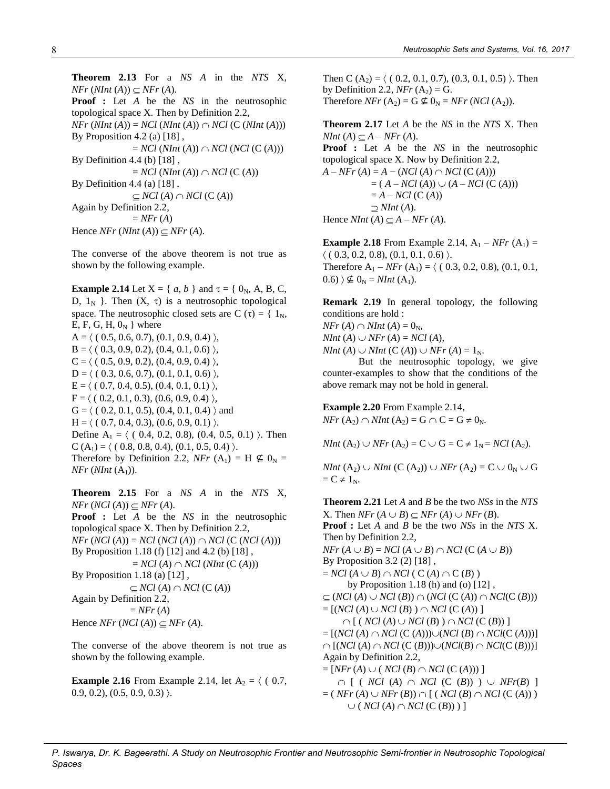**Theorem 2.13** For a *NS A* in the *NTS* X,  $NFr$  (*NInt* (*A*))  $\subseteq$  *NFr* (*A*). **Proof**: Let *A* be the *NS* in the neutrosophic topological space X. Then by Definition 2.2,  $NFr$  (*NInt* (*A*)) = *NCl* (*NInt* (*A*))  $\cap$  *NCl* (*C* (*NInt* (*A*))) By Proposition 4.2 (a) [18] ,  $= NCl$  (*NInt* (*A*))  $\cap NCl$  (*NCl* (C (*A*))) By Definition 4.4 (b) [18] ,  $= NCl$  (*NInt* (*A*))  $\cap NCl$  (C (*A*)) By Definition 4.4 (a) [18] ,  $\subseteq$  *NCl* (*A*)  $\cap$  *NCl* (*C* (*A*)) Again by Definition 2.2,  $=$  *NFr* (*A*) Hence  $NFr$  ( $NInt(A)$ )  $\subseteq NFr(A)$ .

The converse of the above theorem is not true as shown by the following example.

**Example 2.14** Let  $X = \{a, b\}$  and  $\tau = \{0_N, A, B, C,$ D,  $1_N$  }. Then  $(X, \tau)$  is a neutrosophic topological space. The neutrosophic closed sets are C ( $\tau$ ) = { 1<sub>N</sub>, E, F, G, H,  $0_N$  } where  $A = \langle (0.5, 0.6, 0.7), (0.1, 0.9, 0.4) \rangle$ ,  $B = \langle (0.3, 0.9, 0.2), (0.4, 0.1, 0.6) \rangle$ ,  $C = \langle (0.5, 0.9, 0.2), (0.4, 0.9, 0.4) \rangle$ ,  $D = \langle (0.3, 0.6, 0.7), (0.1, 0.1, 0.6) \rangle$ ,  $E = \langle (0.7, 0.4, 0.5), (0.4, 0.1, 0.1) \rangle$ ,  $F = \langle (0.2, 0.1, 0.3), (0.6, 0.9, 0.4) \rangle$ ,  $G = \langle (0.2, 0.1, 0.5), (0.4, 0.1, 0.4) \rangle$  and  $H = \langle (0.7, 0.4, 0.3), (0.6, 0.9, 0.1) \rangle.$ Define  $A_1 = \langle (0.4, 0.2, 0.8), (0.4, 0.5, 0.1) \rangle$ . Then  $C (A<sub>1</sub>) = \langle (0.8, 0.8, 0.4), (0.1, 0.5, 0.4) \rangle.$ Therefore by Definition 2.2, *NFr* (A<sub>1</sub>) = H  $\neq$  0<sub>N</sub> =  $NFr$  (*NInt* (A<sub>1</sub>)).

**Theorem 2.15** For a *NS A* in the *NTS* X,  $NFr (NCl (A)) \subseteq NFr (A).$ **Proof :** Let *A* be the *NS* in the neutrosophic topological space X. Then by Definition 2.2, *NFr* (*NCl* (*A*)) = *NCl* (*NCl* (*A*)) *NCl* (C (*NCl* (*A*))) By Proposition 1.18 (f) [12] and 4.2 (b) [18] ,  $= NCl(A) \cap NCl(NInt(C(A)))$ By Proposition 1.18 (a) [12],  $\subseteq$  *NCl* (*A*)  $\cap$  *NCl* (*C* (*A*)) Again by Definition 2.2,  $=$  *NFr* (*A*) Hence  $NFr$  (*NCl* (*A*))  $\subseteq$  *NFr* (*A*).

The converse of the above theorem is not true as shown by the following example.

**Example 2.16** From Example 2.14, let  $A_2 = \langle 0.7, 1 \rangle$  $0.9, 0.2$ ),  $(0.5, 0.9, 0.3)$ .

Then C  $(A_2) = \langle (0.2, 0.1, 0.7), (0.3, 0.1, 0.5) \rangle$ . Then by Definition 2.2,  $NFr(A_2) = G$ . Therefore  $NFr(A_2) = G \nsubseteq Q_N = NFr(NCl(A_2)).$ 

**Theorem 2.17** Let *A* be the *NS* in the *NTS* X. Then *NInt*  $(A) \subset A - NFr(A)$ . **Proof :** Let *A* be the *NS* in the neutrosophic topological space X. Now by Definition 2.2, *A* − *NFr* (*A*) = *A* − (*NCl* (*A*)  $\cap$  *NCl* (**C** (*A*)))  $= (A - NCl(A)) \cup (A - NCl(C(A)))$  $= A - NCl$  (C (A))  $\supseteq$  *NInt* (*A*). Hence *NInt*  $(A) \subseteq A - NFr(A)$ .

**Example 2.18** From Example 2.14,  $A_1 - NFr(A_1) =$  $(0.3, 0.2, 0.8), (0.1, 0.1, 0.6)$ . Therefore  $A_1$  – *NFr* ( $A_1$ ) =  $($  (0.3, 0.2, 0.8), (0.1, 0.1,  $(0.6)$   $\rangle \nsubseteq 0_N = NInt(A_1).$ 

**Remark 2.19** In general topology, the following conditions are hold :

 $NFr(A) \cap NInt(A) = 0_N,$ *NInt*  $(A)$   $\cup$  *NFr*  $(A)$  = *NCl*  $(A)$ ,

*NInt* (*A*)  $\cup$  *NInt* (**C**(*A*))  $\cup$  *NFr* (*A*) = 1<sub>N</sub>.

But the neutrosophic topology, we give counter-examples to show that the conditions of the above remark may not be hold in general.

**Example 2.20** From Example 2.14,  $NFr$  (A<sub>2</sub>)  $\cap$  *NInt* (A<sub>2</sub>) = G  $\cap$  C = G  $\neq$  0<sub>N</sub>.

*NInt*  $(A_2) \cup NFr (A_2) = C \cup G = C \neq 1_N = NCl (A_2)$ .

*NInt*  $(A_2)$   $\cup$  *NInt*  $(C (A_2))$   $\cup$  *NFr*  $(A_2)$  =  $C \cup 0_N$   $\cup$   $G$  $= C \neq 1_N$ .

**Theorem 2.21** Let *A* and *B* be the two *NSs* in the *NTS X*. Then  $NFr(A \cup B) \subseteq NFr(A) \cup NFr(B)$ . **Proof :** Let *A* and *B* be the two *NSs* in the *NTS* X. Then by Definition 2.2,  $NFr(A \cup B) = NCl(A \cup B) \cap NCl(C(A \cup B))$ By Proposition 3.2 (2) [18] ,  $= NCl (A \cup B) \cap NCl (C (A) \cap C (B))$ by Proposition 1.18 (h) and (o)  $[12]$ ,  $\subseteq (NCl(A) \cup NCl(B)) \cap (NCl(C(A)) \cap NCl(C(B)))$  $= [(NCl (A) \cup NCl (B)) \cap NCl (C (A))]$  $\cap$  [ ( *NCl* (*A*)  $\cup$  *NCl* (*B*) )  $\cap$  *NCl* (*C* (*B*)) ]  $= [(NCl (A) \cap NCl (C (A))) \cup (NCl (B) \cap NCl(C (A)))]$  $\cap$  [(*NCl* (*A*)  $\cap$  *NCl* (*C* (*B*)))) $\cup$ (*NCl*(*B*)  $\cap$  *NCl*(*C* (*B*)))] Again by Definition 2.2,  $= [NFr(A) \cup (NCl(B) \cap NCl(C(A)))]$  $\cap$  [ ( *NCl* (*A*)  $\cap$  *NCl* (*C* (*B*)) )  $\cup$  *NFr*(*B*) ]  $= (NFr(A) \cup NFr(B)) \cap [(NCl(B) \cap NCl(C(A)))$  $\cup$  (*NCl* (*A*)  $\cap$  *NCl* (*C* (*B*)))]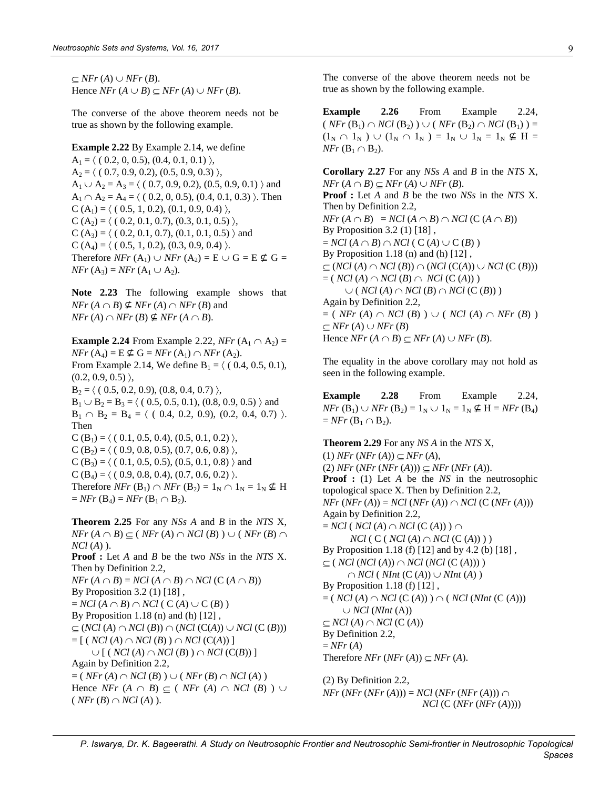$\subset$  *NFr* (*A*)  $\cup$  *NFr* (*B*). Hence  $NFr(A \cup B) \subseteq NFr(A) \cup NFr(B)$ .

The converse of the above theorem needs not be true as shown by the following example.

**Example 2.22** By Example 2.14, we define  $A_1 = \langle (0.2, 0, 0.5), (0.4, 0.1, 0.1) \rangle$ ,  $A_2 = \langle (0.7, 0.9, 0.2), (0.5, 0.9, 0.3) \rangle$ ,  $A_1 \cup A_2 = A_3 = \langle (0.7, 0.9, 0.2), (0.5, 0.9, 0.1) \rangle$  and  $A_1 \cap A_2 = A_4 = \langle (0.2, 0, 0.5), (0.4, 0.1, 0.3) \rangle$ . Then  $C (A<sub>1</sub>) = \langle (0.5, 1, 0.2), (0.1, 0.9, 0.4) \rangle$ ,  $C (A<sub>2</sub>) = \langle (0.2, 0.1, 0.7), (0.3, 0.1, 0.5) \rangle$  $C (A<sub>3</sub>) = \langle (0.2, 0.1, 0.7), (0.1, 0.1, 0.5) \rangle$  and  $C (A<sub>4</sub>) = \langle (0.5, 1, 0.2), (0.3, 0.9, 0.4) \rangle.$ Therefore *NFr* (A<sub>1</sub>)  $\cup$  *NFr* (A<sub>2</sub>) = E  $\cup$  G = E  $\nsubseteq$  G =  $NFr(A_3) = NFr(A_1 \cup A_2).$ 

**Note 2.23** The following example shows that  $NFr(A \cap B) \not\subseteq NFr(A) \cap NFr(B)$  and  $NFr(A) \cap NFr(B) \nsubseteq NFr(A \cap B).$ 

**Example 2.24** From Example 2.22, *NFr*  $(A_1 \cap A_2)$  =  $NFr(A_4) = E \nsubseteq G = NFr(A_1) \cap NFr(A_2).$ From Example 2.14, We define  $B_1 = \langle (0.4, 0.5, 0.1),$  $(0.2, 0.9, 0.5)$ ,  $B_2 = \langle (0.5, 0.2, 0.9), (0.8, 0.4, 0.7) \rangle$ ,  $B_1 \cup B_2 = B_3 = \langle (0.5, 0.5, 0.1), (0.8, 0.9, 0.5) \rangle$  and  $B_1 \cap B_2 = B_4 = \langle (0.4, 0.2, 0.9), (0.2, 0.4, 0.7) \rangle.$ Then  $C (B<sub>1</sub>) = \langle (0.1, 0.5, 0.4), (0.5, 0.1, 0.2) \rangle$ ,  $C (B<sub>2</sub>) = \langle (0.9, 0.8, 0.5), (0.7, 0.6, 0.8) \rangle,$  $C (B_3) = \langle (0.1, 0.5, 0.5), (0.5, 0.1, 0.8) \rangle$  and  $C (B_4) = \langle (0.9, 0.8, 0.4), (0.7, 0.6, 0.2) \rangle.$ Therefore *NFr* (B<sub>1</sub>)  $\cap$  *NFr* (B<sub>2</sub>) = 1<sub>N</sub>  $\cap$  1<sub>N</sub> = 1<sub>N</sub>  $\notin$  H  $=$  *NFr* (B<sub>4</sub>) = *NFr* (B<sub>1</sub>  $\cap$  B<sub>2</sub>).

**Theorem 2.25** For any *NSs A* and *B* in the *NTS* X,  $NFr(A \cap B) \subset (NFr(A) \cap NCl(B)) \cup (NFr(B) \cap$ *NCl* (*A*) ). **Proof :** Let *A* and *B* be the two *NSs* in the *NTS* X. Then by Definition 2.2,  $NFr(A \cap B) = NCl(A \cap B) \cap NCl(C(A \cap B))$ By Proposition 3.2 (1) [18] ,  $= NCl(A \cap B) \cap NCl$  ( C  $(A) \cup C$   $(B)$  ) By Proposition 1.18 (n) and (h) [12] ,  $\subseteq (NCl(A) \cap NCl(B)) \cap (NCl(C(A)) \cup NCl(C(B)))$  $= [ (NCl(A) \cap NCl(B)) \cap NCl(C(A))]$  $\cup$   $[ (NCl (A) \cap NCl (B)) \cap NCl (C(B)) ]$ Again by Definition 2.2,  $=($  *NFr* (*A*)  $\cap$  *NCl* (*B*)  $)$   $\cup$  (*NFr* (*B*)  $\cap$  *NCl* (*A*) ) Hence *NFr*  $(A \cap B) \subseteq (NFr(A) \cap NCl(B)) \cup$  $(NFr(B) \cap NCl(A)).$ 

The converse of the above theorem needs not be true as shown by the following example.

**Example 2.26** From Example 2.24,  $(NFr (B_1) \cap NCl (B_2)) \cup (NFr (B_2) \cap NCl (B_1)) =$  $(1_N \cap 1_N) \cup (1_N \cap 1_N) = 1_N \cup 1_N = 1_N \nsubseteq H =$  $NFr$  ( $B_1 \cap B_2$ ).

**Corollary 2.27** For any *NSs A* and *B* in the *NTS* X,  $NFr(A \cap B) \subset NFr(A) \cup NFr(B).$ **Proof :** Let *A* and *B* be the two *NSs* in the *NTS* X. Then by Definition 2.2,  $NFr(A \cap B) = NCl(A \cap B) \cap NCl(C(A \cap B))$ By Proposition 3.2 (1) [18] ,  $= NCl (A \cap B) \cap NCl (C (A) \cup C (B))$ By Proposition 1.18 (n) and (h) [12],  $\subseteq$  (*NCl* (*A*)  $\cap$  *NCl* (*B*))  $\cap$  (*NCl* (C(*A*))  $\cup$  *NCl* (C(*B*)))  $= ( NCl (A) \cap NCl (B) \cap NCl (C (A)))$  $\cup$  (*NCl* (*A*)  $\cap$  *NCl* (*B*)  $\cap$  *NCl* (*C* (*B*))) Again by Definition 2.2,  $=$  (*NFr* (*A*)  $\cap$  *NCl* (*B*) )  $\cup$  (*NCl* (*A*)  $\cap$  *NFr* (*B*) )  $\subseteq$  *NFr* (*A*)  $\cup$  *NFr* (*B*) Hence  $NFr(A \cap B) \subseteq NFr(A) \cup NFr(B)$ .

The equality in the above corollary may not hold as seen in the following example.

**Example 2.28** From Example 2.24,  $NFr$  (B<sub>1</sub>)  $\cup$  *NFr* (B<sub>2</sub>) = 1<sub>N</sub>  $\cup$  1<sub>N</sub> = 1<sub>N</sub>  $\notin$  H = *NFr* (B<sub>4</sub>)  $=$  *NFr* (B<sub>1</sub>  $\cap$  B<sub>2</sub>).

**Theorem 2.29** For any *NS A* in the *NTS* X,  $(1)$  *NFr*  $(NFr(A)) \subset NFr(A)$ ,  $(P)$ *NFr* (*NFr* (*NFr* (*A*)))  $\subset$  *NFr* (*NFr* (*A*)). **Proof :** (1) Let *A* be the *NS* in the neutrosophic topological space X. Then by Definition 2.2,  $NFr (NFr (A)) = NCl (NFr (A)) \cap NCl (C (NFr (A)))$ Again by Definition 2.2,  $= NCl$  (*NCl* (*A*)  $\cap NCl$  (**C** (*A*)))  $\cap$  $NCl$  ( C (  $NCl$  (*A*)  $\cap$   $NCl$  (C (*A*)))) By Proposition 1.18 (f) [12] and by 4.2 (b) [18] ,  $\subset (NCl (NCl (A)) \cap NCl (NCl (C (A))))$  $\cap$  *NCl* (*NInt* (**C**(*A*))  $\cup$  *NInt* (*A*)) By Proposition 1.18 (f) [12],  $= ( NCl (A) \cap NCl (C (A)))$  )  $\cap ( NCl (NInt (C (A))))$  $\cup$  *NCl* (*NInt* (A))  $\subseteq$  *NCl* (*A*)  $\cap$  *NCl* (*C* (*A*)) By Definition 2.2,  $=$  *NFr* (*A*) Therefore *NFr* (*NFr* (*A*))  $\subseteq$  *NFr* (*A*). (2) By Definition 2.2,

 $NFr(NFr(NFr(A))) = NCl(NFr(NFr(A))) \cap$ *NCl* (C (*NFr* (*NFr* (*A*))))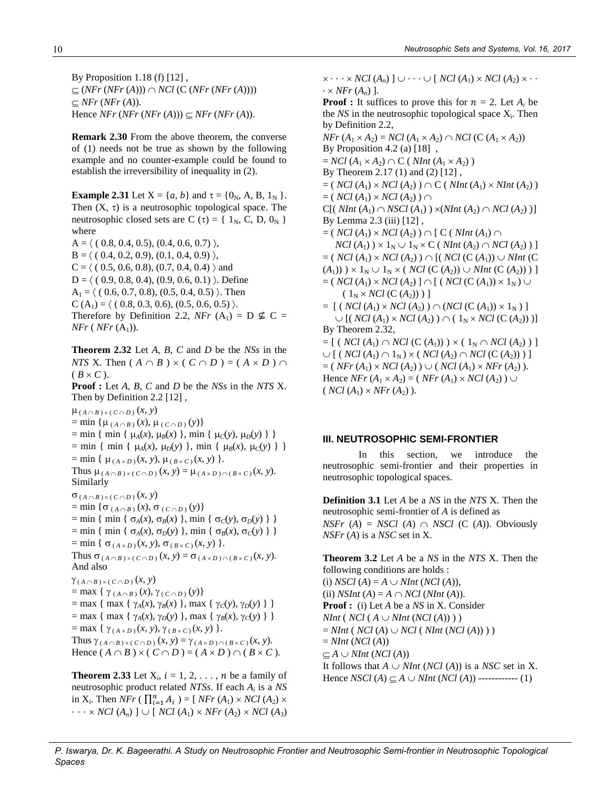By Proposition 1.18 (f) [12] ,  $\subseteq$  (*NFr* (*NFr* (*A*)))  $\cap$  *NCl* (*C* (*NFr* (*NFr* (*A*))))  $\subset$  *NFr* (*NFr* (*A*)). Hence  $NFr$  ( $NFr$  ( $NFr$  (A)))  $\subseteq NFr$  ( $NFr$  (A)).

**Remark 2.30** From the above theorem, the converse of (1) needs not be true as shown by the following example and no counter-example could be found to establish the irreversibility of inequality in (2).

**Example 2.31** Let  $X = \{a, b\}$  and  $\tau = \{0_N, A, B, 1_N\}$ . Then  $(X, \tau)$  is a neutrosophic topological space. The neutrosophic closed sets are C  $(\tau) = \{ 1_N, C, D, 0_N \}$ where

 $A = \langle (0.8, 0.4, 0.5), (0.4, 0.6, 0.7) \rangle,$  $B = \langle (0.4, 0.2, 0.9), (0.1, 0.4, 0.9) \rangle$ ,  $C = \langle (0.5, 0.6, 0.8), (0.7, 0.4, 0.4) \rangle$  and  $D = \langle (0.9, 0.8, 0.4), (0.9, 0.6, 0.1) \rangle$ . Define  $A_1 = \langle (0.6, 0.7, 0.8), (0.5, 0.4, 0.5) \rangle$ . Then  $C (A<sub>1</sub>) = \langle (0.8, 0.3, 0.6), (0.5, 0.6, 0.5) \rangle.$ Therefore by Definition 2.2, *NFr*  $(A_1) = D \nsubseteq C$  = *NFr* (*NFr*  $(A_1)$ ).

**Theorem 2.32** Let *A*, *B*, *C* and *D* be the *NSs* in the *NTS* X. Then  $(A \cap B) \times (C \cap D) = (A \times D) \cap$  $(B \times C)$ .

**Proof :** Let *A*, *B*, *C* and *D* be the *NSs* in the *NTS* X. Then by Definition 2.2 [12] ,

 $\mu$ <sub>( $A \cap B$ )  $\times$ ( $C \cap D$ )  $(x, y)$ </sub>

 $=\min \{ \mu_{(A \cap B)}(x), \mu_{(C \cap D)}(y) \}$ 

 $=$  min { min {  $\mu_A(x), \mu_B(x)$  }, min {  $\mu_C(y), \mu_D(y)$  } }  $=$  min {  $\mu_A(x), \mu_D(y)$  }, min {  $\mu_B(x), \mu_C(y)$  } }

 $=$  min {  $\mu_{(A \times D)}(x, y), \mu_{(B \times C)}(x, y)$  }.

Thus  $\mu_{(A \cap B) \times (C \cap D)}(x, y) = \mu_{(A \times D) \cap (B \times C)}(x, y)$ .

Similarly

 $\sigma$ <sub>( $A \cap B$ )  $\times$ ( $C \cap D$ )</sub> ( $x$ ,  $y$ )  $=$  min { $\sigma$ <sub>( $A \cap B$ )</sub> ( $x$ ),  $\sigma$ <sub>( $C \cap D$ )</sub> ( $y$ )}

 $=$  min {  $\pi_A(x), \sigma_B(x)$  }, min {  $\sigma_C(y), \sigma_D(y)$  } }

```
= min { \pi_A(x), \sigma_D(y) }, min { \sigma_B(x), \sigma_C(y) } }
```
 $=$  min {  $\sigma$ <sub>(*A* × *D*)</sub>(*x*, *y*),  $\sigma$ <sub>(*B* × *C*)</sub>(*x*, *y*) }. Thus  $\sigma$ <sub>( $A \cap B$ )</sub>  $\times$ ( $C \cap D$ )  $(x, y) = \sigma$ <sub>( $A \times D$ )</sub> $\cap$ ( $B \times C$ ) $(x, y)$ .

And also

 $\gamma$  ( $A \cap B$ )  $\times$  ( $C \cap D$ )  $(x, y)$  $=$  max {  $\gamma$  ( $A \cap B$ ) (*x*),  $\gamma$  ( $C \cap D$ ) (*y*)}  $=$  max {  $\gamma_A(x), \gamma_B(x)$  }, max {  $\gamma_C(y), \gamma_D(y)$  } }  $=$  max {  $\gamma_A(x), \gamma_D(y)$  }, max {  $\gamma_B(x), \gamma_C(y)$  } }  $=$  max {  $\gamma_{(A \times D)}(x, y), \gamma_{(B \times C)}(x, y)$  }.

Thus  $\gamma_{(A \cap B) \times (C \cap D)}(x, y) = \gamma_{(A \times D) \cap (B \times C)}(x, y)$ . Hence  $(A \cap B) \times (C \cap D) = (A \times D) \cap (B \times C)$ .

**Theorem 2.33** Let  $X_i$ ,  $i = 1, 2, \ldots, n$  be a family of neutrosophic product related *NTSs*. If each *A<sup>i</sup>* is a *NS* in  $X_i$ . Then *NFr* ( $\prod_{i=1}^n A_i$ ) = [*NFr* ( $A_1$ ) × *NCl* ( $A_2$ ) ×  $\cdots \times NCl(A_n)$  ]  $\cup$  [ *NCl* (*A*<sub>1</sub>)  $\times$  *NFr* (*A*<sub>2</sub>)  $\times$  *NCl* (*A*<sub>3</sub>)

 $\times \cdots \times NCl(A_n)$  ]  $\cup \cdots \cup$  [ *NCl* (*A*<sub>1</sub>)  $\times NCl(A_2) \times \cdots$  $\cdot \times$  *NFr*  $(A_n)$  ].

**Proof :** It suffices to prove this for  $n = 2$ . Let  $A_i$  be the  $NS$  in the neutrosophic topological space  $X_i$ . Then by Definition 2.2, *NFr*  $(A_1 \times A_2) = NCl (A_1 \times A_2) \cap NCl (C (A_1 \times A_2))$ 

By Proposition 4.2 (a) [18],

 $=NCl (A_1 \times A_2) \cap C ( NInt (A_1 \times A_2) )$ By Theorem 2.17 (1) and (2) [12] ,

 $= ( NCl (A_1) \times NCl (A_2) ) \cap C ( NInt (A_1) \times NInt (A_2) )$ 

 $= ( NCl (A<sub>1</sub>) \times NCl (A<sub>2</sub>)) \cap$ 

 $C[(NInt(A_1) \cap NSCl(A_1)) \times (NInt(A_2) \cap NCl(A_2))]$ By Lemma 2.3 (iii) [12] ,

 $= ( NCl (A_1) \times NCl (A_2) ) \cap [ C ( NInt (A_1) \cap$  $NCl(A_1)$  )  $\times$  1<sub>N</sub>  $\cup$  1<sub>N</sub>  $\times$  C (*NInt* (*A*<sub>2</sub>)  $\cap$  *NCl* (*A*<sub>2</sub>) ) ]  $= ( NCl (A_1) \times NCl (A_2) ) \cap [( NCl (C (A_1)) \cup NInt (C$  $(A_1)$ )  $\times$  1<sub>N</sub>  $\cup$  1<sub>N</sub>  $\times$  (*NCl* (C (*A*<sub>2</sub>))  $\cup$  *NInt* (C (*A*<sub>2</sub>)) ) ]  $= ( NCl (A_1) \times NCl (A_2) ] \cap [( NCl (C (A_1)) \times 1_N) \cup$  $( 1_N \times NCl (C (A_2)))$  $=$  [ ( *NCl* (*A*<sub>1</sub>)  $\times$  *NCl* (*A*<sub>2</sub>) )  $\cap$  (*NCl* (C (*A*<sub>1</sub>))  $\times$  1<sub>N</sub>)]  $\cup$  [( *NCl* (*A*<sub>1</sub>)  $\times$  *NCl* (*A*<sub>2</sub>))  $\cap$  (  $1_N \times$  *NCl* (**C** (*A*<sub>2</sub>)) )] By Theorem 2.32,  $= [ (NCl (A_1) \cap NCl (C (A_1))) \times (1_N \cap NCl (A_2)) ]$  $\cup$  [ ( *NCl* (*A*<sub>1</sub>)  $\cap$  1<sub>N</sub>)  $\times$  ( *NCl* (*A*<sub>2</sub>)  $\cap$  *NCl* (**C** (*A*<sub>2</sub>))) ]

 $= ($ *NFr* (*A*<sub>1</sub>)  $\times$  *NCl* (*A*<sub>2</sub>)  $) \cup ($  *NCl* (*A*<sub>1</sub>)  $\times$  *NFr* (*A*<sub>2</sub>)  $).$ Hence *NFr*  $(A_1 \times A_2) = (NFr(A_1) \times NCl(A_2)) \cup$  $(NCl (A_1) \times NFr (A_2)$ ).

### **III. NEUTROSOPHIC SEMI-FRONTIER**

In this section, we introduce the neutrosophic semi-frontier and their properties in neutrosophic topological spaces.

**Definition 3.1** Let *A* be a *NS* in the *NTS* X. Then the neutrosophic semi-frontier of *A* is defined as *NSFr* (*A*) = *NSCl* (*A*)  $\cap$  *NSCl* (*C* (*A*)). Obviously *NSFr* (*A*) is a *NSC* set in X.

**Theorem 3.2** Let *A* be a *NS* in the *NTS* X. Then the following conditions are holds : (i) *NSCl* (*A*) =  $A \cup NInt$  (*NCl* (*A*)), (ii) *NSInt*  $(A) = A \cap NCl$  (*NInt*  $(A)$ ). **Proof :**(i) Let *A* be a *NS* in X. Consider *NInt* (*NCl* ( $A \cup NInt(NCl(A)))$ ) = *NInt* ( *NCl* (*A*) *NCl* ( *NInt* (*NCl* (*A*)) ) ) = *NInt* (*NCl* (*A*))  $\subset$  *A*  $\cup$  *NInt* (*NCl* (*A*)) It follows that  $A \cup NInt (NCl (A))$  is a *NSC* set in X. Hence *NSCl* (*A*)  $\subseteq$  *A*  $\cup$  *NInt* (*NCl* (*A*)) ------------ (1)

*P. Iswarya, Dr. K. Bageerathi. A Study on Neutrosophic Frontier and Neutrosophic Semi-frontier in Neutrosophic Topological Spaces*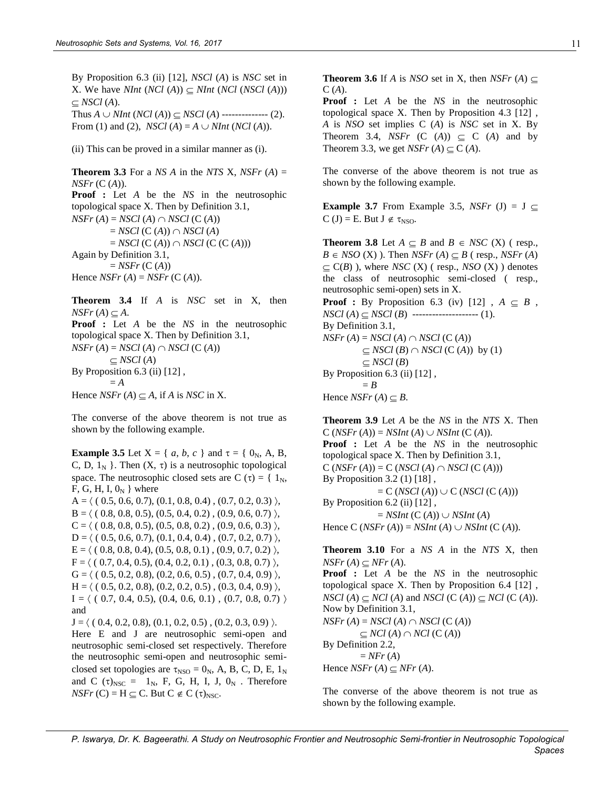By Proposition 6.3 (ii) [12], *NSCl* (*A*) is *NSC* set in X. We have *NInt* (*NCl* (*A*))  $\subseteq$  *NInt* (*NCl* (*NSCl* (*A*)))  $\subset$  *NSCl* (*A*).

Thus  $A \cup NInt (NCl (A)) \subseteq NSCl (A)$  -------------- (2). From (1) and (2), *NSCl* (*A*) =  $A \cup NInt$  (*NCl* (*A*)).

(ii) This can be proved in a similar manner as (i).

**Theorem 3.3** For a *NS A* in the *NTS*  $X$ , *NSFr* (*A*) = *NSFr* (C (*A*)). **Proof :** Let *A* be the *NS* in the neutrosophic

topological space X. Then by Definition 3.1,  $NSFr(A) = NSCl(A) \cap NSCl(C(A))$  $= NSCl$  (C (A))  $\cap NSCl$  (A)  $= NSCl$  (C (*A*))  $\cap NSCl$  (C (C (*A*))) Again by Definition 3.1,  $=$  *NSFr* (C(*A*)) Hence  $NSFr(A) = NSFr(C(A)).$ 

**Theorem 3.4** If *A* is *NSC* set in X, then  $NSFr(A) \subset A$ . **Proof :** Let *A* be the *NS* in the neutrosophic topological space X. Then by Definition 3.1,  $NSFr(A) = NSCl(A) \cap NSCl(C(A))$  $\subset NSCl(A)$ By Proposition 6.3 (ii) [12], = *A* Hence *NSFr* (*A*)  $\subseteq$  *A*, if *A* is *NSC* in *X*.

The converse of the above theorem is not true as shown by the following example.

**Example 3.5** Let  $X = \{a, b, c\}$  and  $\tau = \{0_N, A, B, c\}$ C, D,  $1_N$  }. Then  $(X, \tau)$  is a neutrosophic topological space. The neutrosophic closed sets are C  $(\tau) = \{ 1_N,$ F, G, H, I,  $0_N$  } where  $A = \langle (0.5, 0.6, 0.7), (0.1, 0.8, 0.4), (0.7, 0.2, 0.3) \rangle$  $B = \langle (0.8, 0.8, 0.5), (0.5, 0.4, 0.2), (0.9, 0.6, 0.7) \rangle,$  $C = \langle (0.8, 0.8, 0.5), (0.5, 0.8, 0.2), (0.9, 0.6, 0.3) \rangle$  $D = \langle (0.5, 0.6, 0.7), (0.1, 0.4, 0.4), (0.7, 0.2, 0.7) \rangle$ ,  $E = \langle (0.8, 0.8, 0.4), (0.5, 0.8, 0.1), (0.9, 0.7, 0.2) \rangle$ ,  $F = \langle (0.7, 0.4, 0.5), (0.4, 0.2, 0.1), (0.3, 0.8, 0.7) \rangle$ ,  $G = \langle (0.5, 0.2, 0.8), (0.2, 0.6, 0.5), (0.7, 0.4, 0.9) \rangle$ ,  $H = \langle (0.5, 0.2, 0.8), (0.2, 0.2, 0.5), (0.3, 0.4, 0.9) \rangle,$  $I = \langle (0.7, 0.4, 0.5), (0.4, 0.6, 0.1), (0.7, 0.8, 0.7) \rangle$ and

 $J = \langle (0.4, 0.2, 0.8), (0.1, 0.2, 0.5), (0.2, 0.3, 0.9) \rangle.$ Here E and J are neutrosophic semi-open and neutrosophic semi-closed set respectively. Therefore the neutrosophic semi-open and neutrosophic semiclosed set topologies are  $\tau_{\rm NSO} = 0_N$ , A, B, C, D, E,  $1_N$ and C  $(\tau)_{NSC} = 1_N$ , F, G, H, I, J,  $0_N$ . Therefore *NSFr* (C) = H  $\subseteq$  C. But C  $\notin$  C ( $\tau$ )<sub>NSC</sub>.

**Theorem 3.6** If *A* is *NSO* set in X, then *NSFr* (*A*)  $\subset$ C (*A*).

**Proof :** Let *A* be the *NS* in the neutrosophic topological space X. Then by Proposition 4.3 [12] , *A* is *NSO* set implies C (*A*) is *NSC* set in X. By Theorem 3.4, *NSFr* (C (*A*))  $\subseteq$  C (*A*) and by Theorem 3.3, we get *NSFr* (*A*)  $\subseteq$  C (*A*).

The converse of the above theorem is not true as shown by the following example.

**Example 3.7** From Example 3.5, *NSFr* (J) =  $J \subseteq$  $C (J) = E$ . But  $J \notin \tau_{\text{NSO}}$ .

**Theorem 3.8** Let  $A \subseteq B$  and  $B \in NSC$  (X) (resp.,  $B \in NSO(X)$ ). Then *NSFr* (*A*)  $\subset B$  (resp., *NSFr* (*A*)  $\subseteq$  C(*B*) ), where *NSC* (X) ( resp., *NSO* (X) ) denotes the class of neutrosophic semi-closed ( resp., neutrosophic semi-open) sets in X. **Proof :** By Proposition 6.3 (iv) [12],  $A \subseteq B$ ,  $NSCl(A) \subset NSCl(B)$  --------------------- (1). By Definition 3.1,  $NSFr(A) = NSCl(A) \cap NSCl(C(A))$ 

 $\subseteq$  *NSCl* (*B*)  $\cap$  *NSCl* (**C** (*A*)) by (1)  $\subseteq NSCl(B)$ By Proposition 6.3 (ii) [12],  $=$  *B* 

Hence *NSFr*  $(A) \subseteq B$ .

**Theorem 3.9** Let *A* be the *NS* in the *NTS* X. Then  $C(NSFr(A)) = NSInt(A) \cup NSInt(C(A)).$ **Proof :** Let *A* be the *NS* in the neutrosophic topological space X. Then by Definition 3.1,  $C(NSFr(A)) = C(NSCI(A) \cap NSCl(C(A)))$ By Proposition 3.2 (1) [18] ,  $= C \left( NSCl \left( A \right) \right) \cup C \left( NSCl \left( C \left( A \right) \right) \right)$ By Proposition 6.2 (ii) [12] ,  $=$  *NSInt* (C(*A*))  $\cup$  *NSInt* (*A*) Hence C (*NSFr* (*A*)) = *NSInt* (*A*)  $\cup$  *NSInt* (C (*A*)).

**Theorem 3.10** For a *NS A* in the *NTS* X, then  $N\text{SFr}(A) \subset N\text{Fr}(A).$ **Proof :** Let *A* be the *NS* in the neutrosophic topological space X. Then by Proposition 6.4 [12] ,  $NSCl(A) \subseteq NCl(A)$  and  $NSCl(C(A)) \subseteq NCl(C(A))$ . Now by Definition 3.1,  $NSFr(A) = NSCl(A) \cap NSCl(C(A))$  $\subset$  *NCl* (*A*)  $\cap$  *NCl* (*C* (*A*)) By Definition 2.2,  $=$  *NFr* (*A*) Hence  $NSFr(A) \subseteq NFr(A)$ .

The converse of the above theorem is not true as shown by the following example.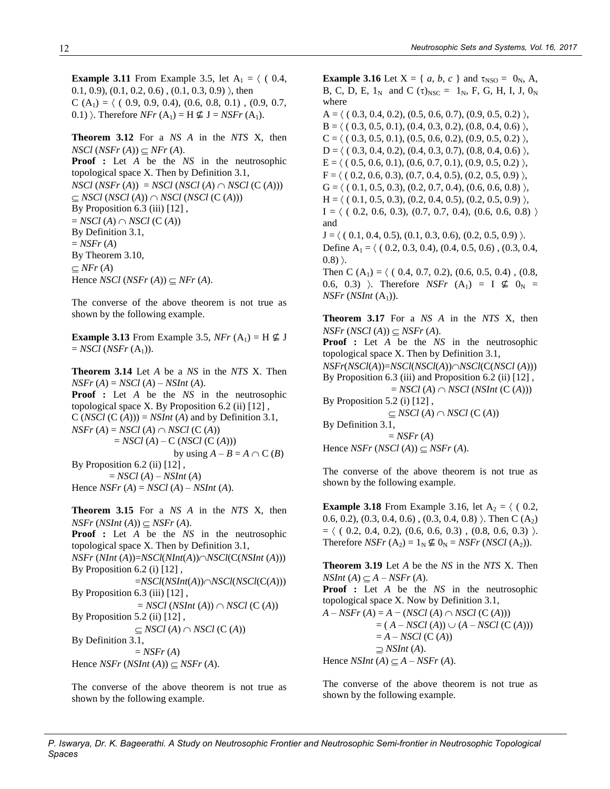**Example 3.11** From Example 3.5, let  $A_1 = \langle 0.4, 0.4 \rangle$  $(0.1, 0.9), (0.1, 0.2, 0.6), (0.1, 0.3, 0.9)$ , then C (A<sub>1</sub>) =  $($  ( 0.9, 0.9, 0.4), (0.6, 0.8, 0.1), (0.9, 0.7, 0.1)  $\angle$ . Therefore *NFr* (A<sub>1</sub>) = H  $\nsubseteq$  J = *NSFr* (A<sub>1</sub>).

**Theorem 3.12** For a *NS A* in the *NTS* X, then  $NSCl$  (*NSFr* (*A*))  $\subset$  *NFr* (*A*). **Proof :** Let *A* be the *NS* in the neutrosophic topological space X. Then by Definition 3.1,  $NSCI (NSFr (A)) = NSCI (NSCI (A) \cap NSCI (C (A)))$  $\subseteq$  *NSCl* (*NSCl* (*A*))  $\cap$  *NSCl* (*NSCl* (**C** (*A*))) By Proposition 6.3 (iii) [12],  $= NSCl(A) \cap NSCl(C(A))$ By Definition 3.1,  $=$  *NSFr* (*A*) By Theorem 3.10,  $\subseteq$  *NFr* (*A*) Hence *NSCl* (*NSFr* (*A*))  $\subseteq$  *NFr* (*A*).

The converse of the above theorem is not true as shown by the following example.

**Example 3.13** From Example 3.5, *NFr*  $(A_1) = H \nsubseteq J$  $= NSCl$  (*NSFr* (A<sub>1</sub>)).

**Theorem 3.14** Let *A* be a *NS* in the *NTS* X. Then *NSFr* (*A*) = *NSCl* (*A*) – *NSInt* (*A*). **Proof :** Let *A* be the *NS* in the neutrosophic topological space X. By Proposition 6.2 (ii) [12] ,  $C (NSCI (C (A))) = NSInt (A)$  and by Definition 3.1,  $NSFr(A) = NSCl(A) \cap NSCl(C(A))$  = *NSCl* (*A*) – C (*NSCl* (C (*A*))) by using  $A - B = A \cap C(B)$ By Proposition 6.2 (ii) [12], = *NSCl* (*A*) – *NSInt* (*A*) Hence  $NSFr(A) = NSCl(A) - NSInt(A)$ . **Theorem 3.15** For a *NS A* in the *NTS* X, then  $NSFr$  (*NSInt* (*A*))  $\subset$  *NSFr* (*A*).

**Proof :** Let *A* be the *NS* in the neutrosophic topological space X. Then by Definition 3.1, *NSFr* (*NInt* (*A*))=*NSCl*(*NInt*(*A*))*NSCl*(C(*NSInt* (*A*))) By Proposition 6.2 (i) [12] , =*NSCl*(*NSInt*(*A*))*NSCl*(*NSCl*(C(*A*))) By Proposition 6.3 (iii) [12],  $= NSCl$  (*NSInt* (*A*))  $\cap NSCl$  (**C** (*A*)) By Proposition 5.2 (ii) [12],  $\subseteq$  *NSCl* (*A*)  $\cap$  *NSCl* (**C** (*A*))

By Definition 3.1,  $= NSFr(A)$ Hence *NSFr* (*NSInt* (*A*))  $\subset$  *NSFr* (*A*).

The converse of the above theorem is not true as shown by the following example.

**Example 3.16** Let  $X = \{ a, b, c \}$  and  $\tau_{NSO} = 0_N$ , A, B, C, D, E,  $1_N$  and C ( $\tau$ )<sub>NSC</sub> =  $1_N$ , F, G, H, I, J, O<sub>N</sub> where  $A = \langle (0.3, 0.4, 0.2), (0.5, 0.6, 0.7), (0.9, 0.5, 0.2) \rangle$  $B = \langle (0.3, 0.5, 0.1), (0.4, 0.3, 0.2), (0.8, 0.4, 0.6) \rangle$  $C = \langle (0.3, 0.5, 0.1), (0.5, 0.6, 0.2), (0.9, 0.5, 0.2) \rangle$  $D = \langle (0.3, 0.4, 0.2), (0.4, 0.3, 0.7), (0.8, 0.4, 0.6) \rangle$ ,  $E = \langle (0.5, 0.6, 0.1), (0.6, 0.7, 0.1), (0.9, 0.5, 0.2) \rangle$  $F = \langle (0.2, 0.6, 0.3), (0.7, 0.4, 0.5), (0.2, 0.5, 0.9) \rangle$ ,  $G = \langle (0.1, 0.5, 0.3), (0.2, 0.7, 0.4), (0.6, 0.6, 0.8) \rangle$ ,  $H = \langle (0.1, 0.5, 0.3), (0.2, 0.4, 0.5), (0.2, 0.5, 0.9) \rangle$  $I = \langle (0.2, 0.6, 0.3), (0.7, 0.7, 0.4), (0.6, 0.6, 0.8) \rangle$ and  $J = \langle (0.1, 0.4, 0.5), (0.1, 0.3, 0.6), (0.2, 0.5, 0.9) \rangle.$ Define A<sub>1</sub> =  $($  (0.2, 0.3, 0.4), (0.4, 0.5, 0.6), (0.3, 0.4,  $(0.8)$ . Then C  $(A_1) = \langle (0.4, 0.7, 0.2), (0.6, 0.5, 0.4), (0.8,$ 0.6, 0.3)  $\angle$ . Therefore *NSFr* (A<sub>1</sub>) = I  $\notin$  0<sub>N</sub> =  $NSFr$  (*NSInt* (A<sub>1</sub>)).

**Theorem 3.17** For a *NS A* in the *NTS* X, then  $NSFr$  (*NSCl* (*A*))  $\subset$  *NSFr* (*A*). **Proof :** Let *A* be the *NS* in the neutrosophic topological space X. Then by Definition 3.1, *NSFr*(*NSCl*(*A*))=*NSCl*(*NSCl*(*A*))*NSCl*(C(*NSCl* (*A*))) By Proposition 6.3 (iii) and Proposition 6.2 (ii) [12] ,  $= NSCl(A) \cap NSCl(NSInt(C(A)))$ 

By Proposition 5.2 (i) [12] ,  $\subseteq$  *NSCl* (*A*)  $\cap$  *NSCl* (*C* (*A*))

By Definition 3.1,

 $=$  *NSFr* (*A*) Hence *NSFr* (*NSCl* (*A*))  $\subseteq$  *NSFr* (*A*).

The converse of the above theorem is not true as shown by the following example.

**Example 3.18** From Example 3.16, let  $A_2 = \langle 0.2, 0.2 \rangle$ 0.6, 0.2), (0.3, 0.4, 0.6), (0.3, 0.4, 0.8) ). Then C (A<sub>2</sub>)  $= \langle (0.2, 0.4, 0.2), (0.6, 0.6, 0.3), (0.8, 0.6, 0.3) \rangle.$ Therefore *NSFr* (A<sub>2</sub>) =  $1_N \nsubseteq 0_N$  = *NSFr* (*NSCl* (A<sub>2</sub>)).

**Theorem 3.19** Let *A* be the *NS* in the *NTS* X. Then  $NSInt(A) \subseteq A - NSFr(A).$ **Proof :** Let *A* be the *NS* in the neutrosophic

topological space X. Now by Definition 3.1, *A* − *NSFr* (*A*) = *A* − (*NSCl* (*A*)  $\cap$  *NSCl* (**C** (*A*)))  $= (A - NSCl(A)) \cup (A - NSCl(C(A)))$  $= A - NSCl$  (C (A))  $\supseteq$  *NSInt* (*A*). Hence *NSInt*  $(A) \subseteq A - NSFr(A)$ .

The converse of the above theorem is not true as shown by the following example.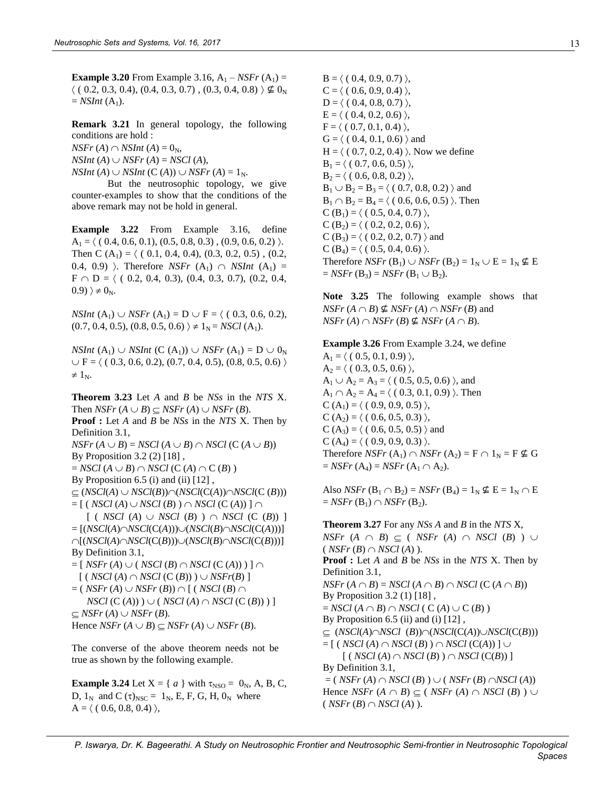**Example 3.20** From Example 3.16,  $A_1 - NSFr(A_1) =$  $($  ( 0.2, 0.3, 0.4), (0.4, 0.3, 0.7), (0.3, 0.4, 0.8)  $\rangle \not\subseteq 0_N$  $=$  *NSInt* (A<sub>1</sub>).

**Remark 3.21** In general topology, the following conditions are hold :

 $NSFr(A) \cap NSInt(A) = 0_N$ ,

 $NSInt(A) \cup NSFr(A) = NSCl(A),$ 

 $NSInt(A) \cup NSInt(C(A)) \cup NSFr(A) = 1_N$ .

But the neutrosophic topology, we give counter-examples to show that the conditions of the above remark may not be hold in general.

**Example 3.22** From Example 3.16, define  $A_1 = \langle (0.4, 0.6, 0.1), (0.5, 0.8, 0.3), (0.9, 0.6, 0.2) \rangle.$ Then C  $(A_1) = \langle (0.1, 0.4, 0.4), (0.3, 0.2, 0.5), (0.2,$ 0.4, 0.9)  $\angle$  Therefore *NSFr* (A<sub>1</sub>)  $\cap$  *NSInt* (A<sub>1</sub>) =  $F \cap D = \langle (0.2, 0.4, 0.3), (0.4, 0.3, 0.7), (0.2, 0.4,$  $(0.9)$   $\rangle \neq 0_N$ .

*NSInt* (A<sub>1</sub>)  $\cup$  *NSFr* (A<sub>1</sub>) = **D**  $\cup$  **F** =  $\langle$  (0.3, 0.6, 0.2),  $(0.7, 0.4, 0.5), (0.8, 0.5, 0.6) \neq 1_N = NSCl(A_1).$ 

*NSInt*  $(A_1)$   $\cup$  *NSInt*  $(C (A_1))$   $\cup$  *NSFr*  $(A_1) = D \cup 0_N$  $\cup$  F =  $\langle$  (0.3, 0.6, 0.2), (0.7, 0.4, 0.5), (0.8, 0.5, 0.6)  $\rangle$  $\neq 1_N$ .

**Theorem 3.23** Let *A* and *B* be *NSs* in the *NTS* X. Then *NSFr*  $(A \cup B) \subseteq NSFr(A) \cup NSFr(B)$ . **Proof :** Let *A* and *B* be *NSs* in the *NTS* X. Then by Definition 3.1, *NSFr*  $(A \cup B) = NSCl$   $(A \cup B) \cap NSCl$   $(C(A \cup B))$ By Proposition 3.2 (2) [18] ,  $= NSCl (A \cup B) \cap NSCl (C (A) \cap C (B))$ By Proposition 6.5 (i) and (ii)  $[12]$ ,  $\subseteq (NSCl(A) \cup NSCl(B)) \cap (NSCl(C(A)) \cap NSCl(C(B)))$  $=$  [ (*NSCl* (*A*)  $\cup$  *NSCl* (*B*) )  $\cap$  *NSCl* (C (*A*)) ]  $\cap$  $\lceil$  (*NSCl* (*A*)  $\cup$  *NSCl* (*B*) )  $\cap$  *NSCl* (C (*B*)) ]  $= [(NSCl(A) \cap NSCl(C(A)) \cup (NSCl(B) \cap NSCl(C(A)))]$  $\cap$ [(*NSCl*(*A*) $\cap$ *NSCl*(*C*(*B*)))) $\cup$ (*NSCl*(*B*) $\cap$ *NSCl*(*C*(*B*)))] By Definition 3.1,  $= [ N S F r (A) \cup ( N S C l (B) \cap NS C l (C (A))) ] \cap$  $\lceil (NSCl(A) \cap NSCl(C(B))) \cup NSFr(B) \rceil$  $= ( NSFr(A) \cup NSFr(B) ) \cap [( NSCl(B) \cap$  $NSCI(C(A))$  )  $\cup (NSCI(A) \cap NSCI(C(B)))$  $\subseteq$  *NSFr* (*A*)  $\cup$  *NSFr* (*B*). Hence *NSFr*  $(A \cup B) \subseteq N\{SFr(A) \cup N\{SFr(B)\}.$ 

The converse of the above theorem needs not be true as shown by the following example.

**Example 3.24** Let  $X = \{a\}$  with  $\tau_{NSO} = 0_N$ , A, B, C, D,  $1_N$  and C ( $\tau$ )<sub>NSC</sub> =  $1_N$ , E, F, G, H, 0<sub>N</sub> where  $A = \langle (0.6, 0.8, 0.4) \rangle$ ,

 $B = \langle (0.4, 0.9, 0.7) \rangle$ ,  $C = \langle (0.6, 0.9, 0.4) \rangle$ ,  $D = \langle (0.4, 0.8, 0.7) \rangle$ ,  $E = \langle (0.4, 0.2, 0.6) \rangle$ ,  $F = \langle (0.7, 0.1, 0.4) \rangle$ ,  $G = \langle (0.4, 0.1, 0.6) \rangle$  and  $H = \langle (0.7, 0.2, 0.4) \rangle$ . Now we define  $B_1 = \langle (0.7, 0.6, 0.5) \rangle$ ,  $B_2 = \langle (0.6, 0.8, 0.2) \rangle$ ,  $B_1 \cup B_2 = B_3 = \langle (0.7, 0.8, 0.2) \rangle$  and  $B_1 \cap B_2 = B_4 = \langle (0.6, 0.6, 0.5) \rangle$ . Then  $C (B<sub>1</sub>) = \langle (0.5, 0.4, 0.7) \rangle,$  $C (B<sub>2</sub>) = \langle (0.2, 0.2, 0.6) \rangle$ ,  $C (B_3) = \langle (0.2, 0.2, 0.7) \rangle$  and  $C (B_4) = \langle (0.5, 0.4, 0.6) \rangle.$ Therefore *NSFr* (B<sub>1</sub>)  $\cup$  *NSFr* (B<sub>2</sub>) = 1<sub>N</sub>  $\cup$  E = 1<sub>N</sub>  $\notin$  E  $= NSFr$  (B<sub>3</sub>) = *NSFr* (B<sub>1</sub>  $\cup$  B<sub>2</sub>).

**Note 3.25** The following example shows that  $NSFr(A \cap B) \nsubseteq NSFr(A) \cap NSFr(B)$  and  $NSFr(A) \cap NSFr(B) \nsubseteq NSFr(A \cap B).$ 

**Example 3.26** From Example 3.24, we define  $A_1 = \langle (0.5, 0.1, 0.9) \rangle$ ,  $A_2 = \langle (0.3, 0.5, 0.6) \rangle$ ,  $A_1 \cup A_2 = A_3 = \langle (0.5, 0.5, 0.6) \rangle$ , and  $A_1 \cap A_2 = A_4 = \langle (0.3, 0.1, 0.9) \rangle$ . Then  $C (A<sub>1</sub>) = \langle (0.9, 0.9, 0.5) \rangle$ ,  $C (A<sub>2</sub>) = \langle (0.6, 0.5, 0.3) \rangle$ ,  $C (A<sub>3</sub>) = \langle (0.6, 0.5, 0.5) \rangle$  and  $C (A<sub>4</sub>) = \langle (0.9, 0.9, 0.3) \rangle.$ Therefore *NSFr* (A<sub>1</sub>)  $\cap$  *NSFr* (A<sub>2</sub>) = F  $\cap$  1<sub>N</sub> = F  $\nsubseteq$  G  $=$  *NSFr* (A<sub>4</sub>) = *NSFr* (A<sub>1</sub>  $\cap$  A<sub>2</sub>).

Also *NSFr*  $(B_1 \cap B_2) = NSFr(B_4) = 1_N \nsubseteq E = 1_N \cap E$  $=$  *NSFr* (B<sub>1</sub>)  $\cap$  *NSFr* (B<sub>2</sub>).

**Theorem 3.27** For any *NSs A* and *B* in the *NTS* X,  $NSFr$   $(A \cap B) \subseteq (NSFr(A) \cap NSCl(B)) \cup$  $(NSFr(B) \cap NSCl(A))$ . **Proof :** Let *A* and *B* be *NSs* in the *NTS* X. Then by Definition 3.1,  $NSFr(A \cap B) = NSCl(A \cap B) \cap NSCl(C(A \cap B))$ By Proposition 3.2 (1) [18] ,  $=$  *NSCl* ( $A \cap B$ )  $\cap$  *NSCl* ( $C(A) \cup C(B)$ ) By Proposition 6.5 (ii) and (i) [12],  $\subseteq$  (*NSCl*(*A*) $\cap$ *NSCl* (*B*)) $\cap$ (*NSCl*(C(*A*)) $\cup$ *NSCl*(C(*B*)))  $= [ (NSCl (A) \cap NSCl (B)) \cap NSCl (C(A)) ] \cup$  $[ (NSCI (A) \cap NSCI (B)) \cap NSCI (C(B)) ]$ By Definition 3.1,  $= ( NSFr(A) \cap NSCl(B)) \cup (NSFr(B) \cap NSCl(A))$ Hence *NSFr*  $(A \cap B) \subseteq (N\{SFr\}(A) \cap NSCl(B)) \cup$  $(NSFr(B) \cap NSCl(A))$ .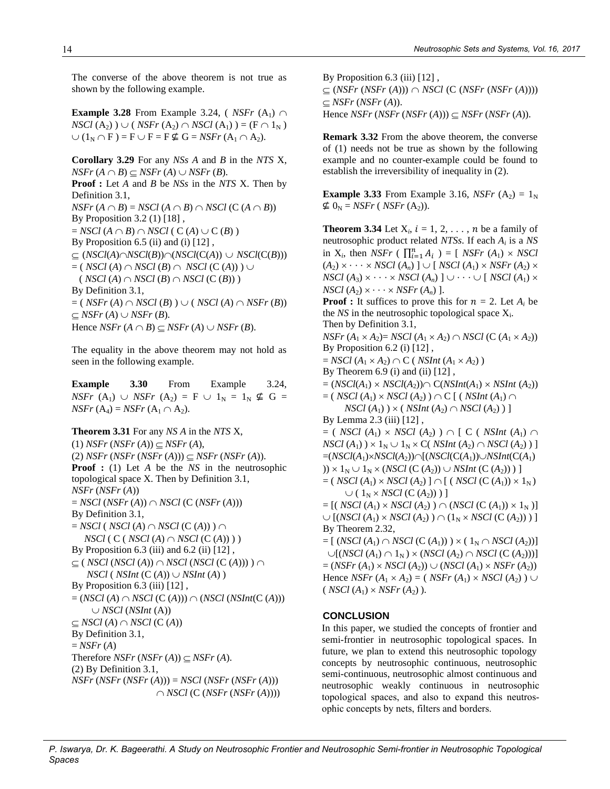The converse of the above theorem is not true as shown by the following example.

**Example 3.28** From Example 3.24, ( $NSFr$  (A<sub>1</sub>)  $\cap$ *NSCl* (A<sub>2</sub>)  $) \cup (NSFr(A_2) \cap NSCl(A_1)) = (F \cap 1_N)$  $\cup$  (1<sub>N</sub>  $\cap$  F ) = F  $\cup$  F = F  $\nsubseteq$  G = *NSFr* (A<sub>1</sub>  $\cap$  A<sub>2</sub>).

**Corollary 3.29** For any *NSs A* and *B* in the *NTS* X,  $NSFr(A \cap B) \subset NSFr(A) \cup NSFr(B).$ **Proof :** Let *A* and *B* be *NSs* in the *NTS* X. Then by Definition 3.1,  $NSFr(A \cap B) = NSCl(A \cap B) \cap NSCl(C(A \cap B))$ By Proposition 3.2 (1) [18] ,  $= NSCl(A \cap B) \cap NSCl(C(A) \cup C(B))$ By Proposition 6.5 (ii) and (i) [12],  $\subseteq (NSCl(A) \cap NSCl(B)) \cap (NSCl(C(A)) \cup NSCl(C(B)))$  $= ( NSCl (A) \cap NSCl (B) \cap NSCl (C (A))) \cup$  $(XSCI(A) \cap NSCl(B) \cap NSCl(C(B)))$ By Definition 3.1,  $= ( \text{NSFr}(A) \cap \text{NSCl}(B) ) \cup ( \text{NSCl}(A) \cap \text{NSFr}(B) )$  $\subset$  *NSFr* (*A*)  $\cup$  *NSFr* (*B*). Hence *NSFr*  $(A \cap B) \subseteq N\{SFr(A) \cup N\{SFr(B)\}.$ 

The equality in the above theorem may not hold as seen in the following example.

**Example 3.30** From Example 3.24, *NSFr* (A<sub>1</sub>)  $\cup$  *NSFr* (A<sub>2</sub>) = F  $\cup$  1<sub>N</sub> = 1<sub>N</sub>  $\notin$  G =  $NSFr(A_4) = NSFr(A_1 \cap A_2).$ 

**Theorem 3.31** For any *NS A* in the *NTS* X,  $(1)$  *NSFr* (*NSFr* (*A*))  $\subseteq$  *NSFr* (*A*),  $(2)$  *NSFr* (*NSFr* (*NSFr* (*A*)))  $\subset$  *NSFr* (*NSFr* (*A*)). **Proof :** (1) Let *A* be the *NS* in the neutrosophic topological space X. Then by Definition 3.1, *NSFr* (*NSFr* (*A*))  $= NSCl$  (*NSFr* (*A*))  $\cap$  *NSCl* (**C** (*NSFr* (*A*))) By Definition 3.1,  $= NSCl$  (*NSCl* (*A*)  $\cap$  *NSCl* (**C** (*A*)))  $\cap$ *NSCl* ( C ( *NSCl* (*A*)  $\cap$  *NSCl* (C (*A*)) ) ) By Proposition 6.3 (iii) and 6.2 (ii) [12],  $\subset$  (*NSCl* (*NSCl* (*A*))  $\cap$  *NSCl* (*NSCl* (**C** (*A*)))  $\cap$  $NSCl$  (  $NSInt$  (**C** (*A*))  $\cup$  *NSInt* (*A*)) By Proposition 6.3 (iii) [12],  $= (NSCl(A) \cap NSCl(C(A))) \cap (NSCl(NSInt(C(A))))$  $\cup$  *NSCl* (*NSInt* (A))  $\subseteq$  *NSCl* (*A*)  $\cap$  *NSCl* (**C** (*A*)) By Definition 3.1,  $=$  *NSFr* (*A*) Therefore *NSFr* (*NSFr* (*A*))  $\subseteq$  *NSFr* (*A*). (2) By Definition 3.1, *NSFr* (*NSFr* (*NSFr* (*A*))) = *NSCl* (*NSFr* (*NSFr* (*A*))) *NSCl* (C (*NSFr* (*NSFr* (*A*))))

By Proposition 6.3 (iii) [12],  $\subseteq$  (*NSFr* (*NSFr* (*A*)))  $\cap$  *NSCl* (*C* (*NSFr* (*NSFr* (*A*))))  $\subset$  *NSFr* (*NSFr* (*A*)). Hence *NSFr* (*NSFr* (*NSFr* (*A*)))  $\subseteq$  *NSFr* (*NSFr* (*A*)).

**Remark 3.32** From the above theorem, the converse of (1) needs not be true as shown by the following example and no counter-example could be found to establish the irreversibility of inequality in (2).

**Example 3.33** From Example 3.16, *NSFr*  $(A_2) = 1_N$  $⊈ 0<sub>N</sub> = NSFr ( NSFr (A<sub>2</sub>)).$ 

**Theorem 3.34** Let  $X_i$ ,  $i = 1, 2, \ldots, n$  be a family of neutrosophic product related *NTSs*. If each *A<sup>i</sup>* is a *NS* in  $X_i$ , then *NSFr* ( $\prod_{i=1}^n A_i$ ) = [*NSFr* ( $A_1$ ) × *NSCl*  $(A_2) \times \cdots \times NSCl (A_n)$  |  $\cup$  | *NSCl*  $(A_1) \times NSFr (A_2) \times$ *NSCl*  $(A_3) \times \cdots \times NSCl$   $(A_n) \cup \cdots \cup [NSCl (A_1) \times$  $NSCl(A_2) \times \cdots \times NSFr(A_n)$ ]. **Proof :** It suffices to prove this for  $n = 2$ . Let  $A_i$  be the  $NS$  in the neutrosophic topological space  $X_i$ . Then by Definition 3.1,  $NSFr(A_1 \times A_2) = NSCl(A_1 \times A_2) \cap NSCl(C(A_1 \times A_2))$ By Proposition 6.2 (i) [12],  $=NSCl (A_1 \times A_2) \cap C (NSInt (A_1 \times A_2))$ By Theorem 6.9 (i) and (ii) [12] ,  $= (NSCl(A_1) \times NSCl(A_2)) \cap C(NSInt(A_1) \times NSInt(A_2))$  $= ( NSCl (A<sub>1</sub>) \times NSCl (A<sub>2</sub>)) \cap C$  [ (*NSInt* (*A*<sub>1</sub>)  $\cap$  $NSCl(A_1)$   $\times$  (*NSInt* (*A*<sub>2</sub>)  $\cap$  *NSCl* (*A*<sub>2</sub>)  $)$ ] By Lemma 2.3 (iii) [12] ,  $=$  (*NSCl* (*A*<sub>1</sub>)  $\times$  *NSCl* (*A*<sub>2</sub>) )  $\cap$  [ C ( *NSInt* (*A*<sub>1</sub>)  $\cap$  $NSCl(A_1)$   $\times$   $1_N \cup 1_N \times C(NSInt(A_2) \cap NSCl(A_2))$  $=(NSCl(A_1)\times NSCl(A_2))\cap [(NSCl(C(A_1))\cup NSInt(C(A_1))$ ))  $\times$  1<sub>N</sub>  $\cup$  1<sub>N</sub>  $\times$  (*NSCl* (C (*A*<sub>2</sub>))  $\cup$  *NSInt* (C (*A*<sub>2</sub>)) ) ]  $= ( NSCl (A<sub>1</sub>) \times NSCl (A<sub>2</sub>) ] \cap [( NSCl (C (A<sub>1</sub>)) \times 1<sub>N</sub>) ]$  $\cup$  (1<sub>N</sub> × *NSCl* (C (*A*<sub>2</sub>)))]  $=$  [(*NSCl* (*A*<sub>1</sub>)  $\times$  *NSCl* (*A*<sub>2</sub>)  $) \cap$  (*NSCl* (**C** (*A*<sub>1</sub>))  $\times$  1<sub>N</sub> )]  $\cup$  [(*NSCl* (*A*<sub>1</sub>)  $\times$  *NSCl* (*A*<sub>2</sub>))  $\cap$  (1<sub>N</sub>  $\times$  *NSCl* (**C** (*A*<sub>2</sub>))) ] By Theorem 2.32,  $= [ (NSCI (A<sub>1</sub>) \cap NSCI (C (A<sub>1</sub>))) \times (1<sub>N</sub> \cap NSCI (A<sub>2</sub>))]$  $\bigcup [(NSCI (A_1) \cap 1_N) \times (NSCI (A_2) \cap NSCI (C (A_2)))]$  $= (NSFr (A_1) \times NSCl (A_2)) \cup (NSCl (A_1) \times NSFr (A_2))$ Hence *NSFr*  $(A_1 \times A_2) = (NSFr(A_1) \times NSCl(A_2)) \cup$  $(NSCl (A<sub>1</sub>) \times NSFr (A<sub>2</sub>)$ ).

#### **CONCLUSION**

In this paper, we studied the concepts of frontier and semi-frontier in neutrosophic topological spaces. In future, we plan to extend this neutrosophic topology concepts by neutrosophic continuous, neutrosophic semi-continuous, neutrosophic almost continuous and neutrosophic weakly continuous in neutrosophic topological spaces, and also to expand this neutrosophic concepts by nets, filters and borders.